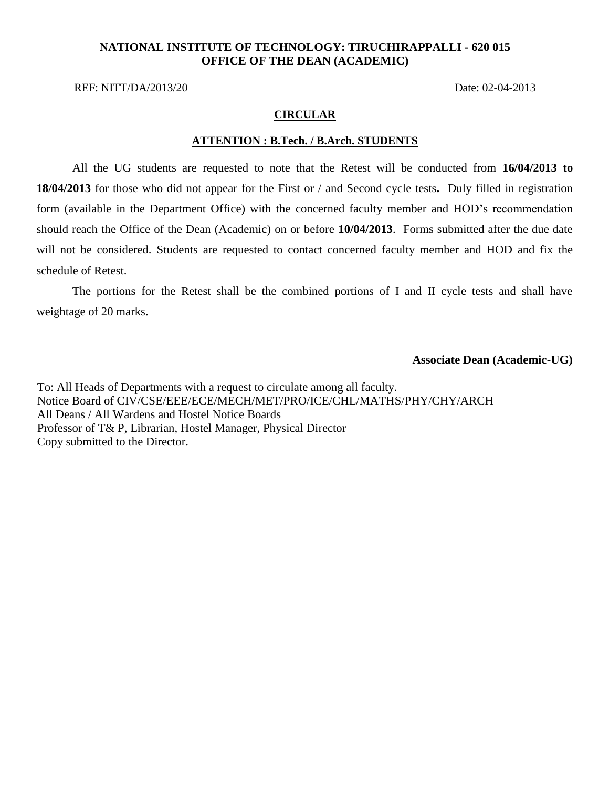## **NATIONAL INSTITUTE OF TECHNOLOGY: TIRUCHIRAPPALLI - 620 015 OFFICE OF THE DEAN (ACADEMIC)**

REF: NITT/DA/2013/20 Date: 02-04-2013

### **CIRCULAR**

#### **ATTENTION : B.Tech. / B.Arch. STUDENTS**

All the UG students are requested to note that the Retest will be conducted from **16/04/2013 to 18/04/2013** for those who did not appear for the First or / and Second cycle tests**.** Duly filled in registration form (available in the Department Office) with the concerned faculty member and HOD's recommendation should reach the Office of the Dean (Academic) on or before **10/04/2013**. Forms submitted after the due date will not be considered. Students are requested to contact concerned faculty member and HOD and fix the schedule of Retest.

The portions for the Retest shall be the combined portions of I and II cycle tests and shall have weightage of 20 marks.

**Associate Dean (Academic-UG)**

To: All Heads of Departments with a request to circulate among all faculty. Notice Board of CIV/CSE/EEE/ECE/MECH/MET/PRO/ICE/CHL/MATHS/PHY/CHY/ARCH All Deans / All Wardens and Hostel Notice Boards Professor of T& P, Librarian, Hostel Manager, Physical Director Copy submitted to the Director.